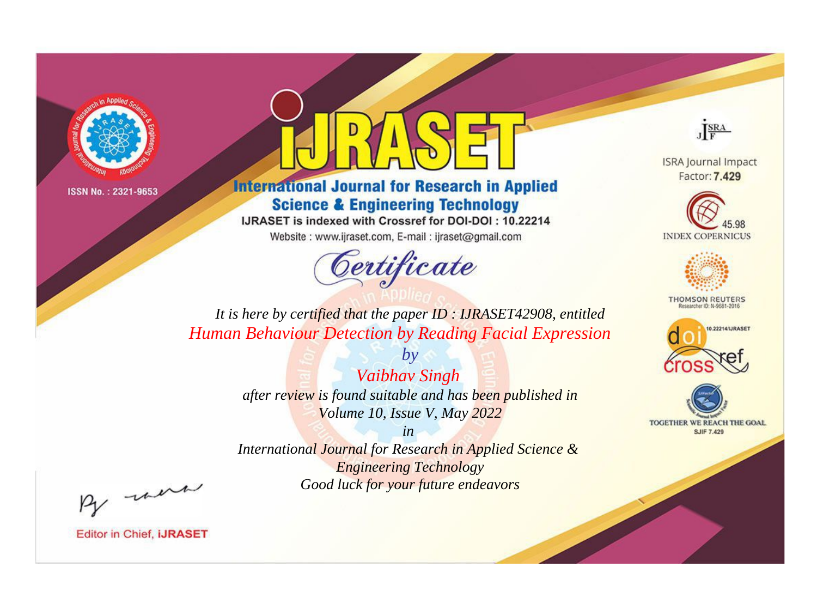

# **International Journal for Research in Applied Science & Engineering Technology**

IJRASET is indexed with Crossref for DOI-DOI: 10.22214

Website: www.ijraset.com, E-mail: ijraset@gmail.com



JERA

**ISRA Journal Impact** Factor: 7.429





**THOMSON REUTERS** 



TOGETHER WE REACH THE GOAL **SJIF 7.429** 

*It is here by certified that the paper ID : IJRASET42908, entitled Human Behaviour Detection by Reading Facial Expression*

> *Vaibhav Singh after review is found suitable and has been published in Volume 10, Issue V, May 2022*

*by*

*in* 

*International Journal for Research in Applied Science & Engineering Technology Good luck for your future endeavors*

By morn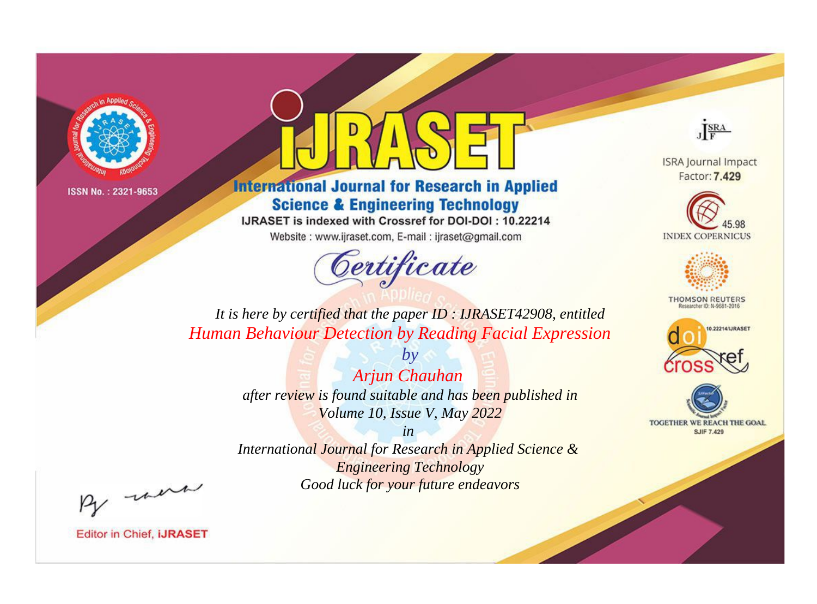

# **International Journal for Research in Applied Science & Engineering Technology**

IJRASET is indexed with Crossref for DOI-DOI: 10.22214

Website: www.ijraset.com, E-mail: ijraset@gmail.com



JERA

**ISRA Journal Impact** Factor: 7.429





**THOMSON REUTERS** 



TOGETHER WE REACH THE GOAL **SJIF 7.429** 

*It is here by certified that the paper ID : IJRASET42908, entitled Human Behaviour Detection by Reading Facial Expression*

> *by Arjun Chauhan after review is found suitable and has been published in Volume 10, Issue V, May 2022*

> > *in*

*International Journal for Research in Applied Science & Engineering Technology Good luck for your future endeavors*

By morn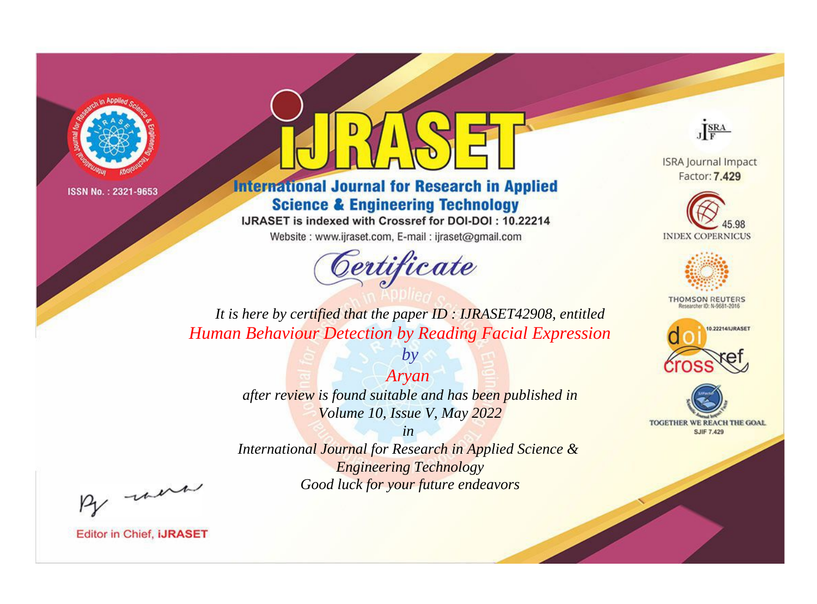

# **International Journal for Research in Applied Science & Engineering Technology**

IJRASET is indexed with Crossref for DOI-DOI: 10.22214

Website: www.ijraset.com, E-mail: ijraset@gmail.com



JERA

**ISRA Journal Impact** Factor: 7.429





**THOMSON REUTERS** 



TOGETHER WE REACH THE GOAL **SJIF 7.429** 

*It is here by certified that the paper ID : IJRASET42908, entitled Human Behaviour Detection by Reading Facial Expression*

> *Aryan after review is found suitable and has been published in Volume 10, Issue V, May 2022*

*by*

*in* 

*International Journal for Research in Applied Science & Engineering Technology Good luck for your future endeavors*

By morn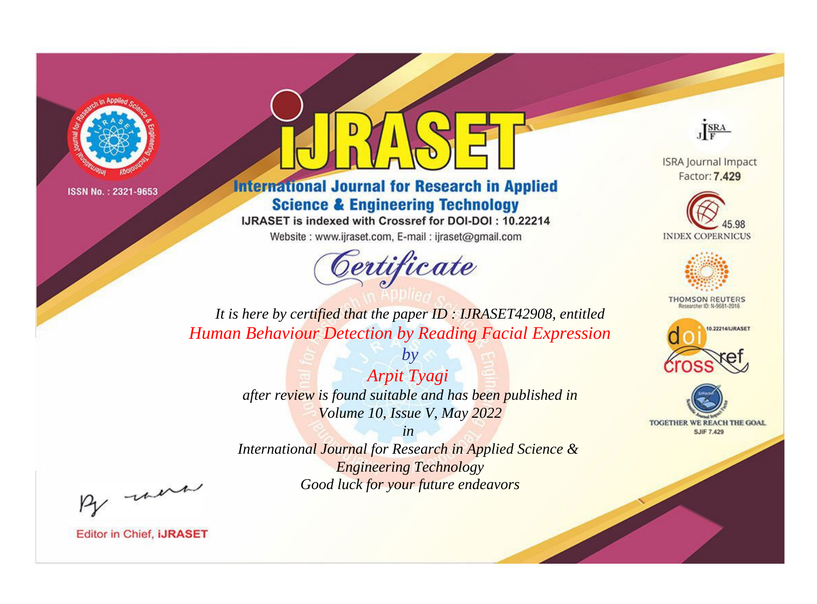

# **International Journal for Research in Applied Science & Engineering Technology**

IJRASET is indexed with Crossref for DOI-DOI: 10.22214

Website: www.ijraset.com, E-mail: ijraset@gmail.com



JERA

**ISRA Journal Impact** Factor: 7.429





**THOMSON REUTERS** 



TOGETHER WE REACH THE GOAL **SJIF 7.429** 

*It is here by certified that the paper ID : IJRASET42908, entitled Human Behaviour Detection by Reading Facial Expression*

> *Arpit Tyagi after review is found suitable and has been published in Volume 10, Issue V, May 2022*

*by*

*in* 

*International Journal for Research in Applied Science & Engineering Technology Good luck for your future endeavors*

By morn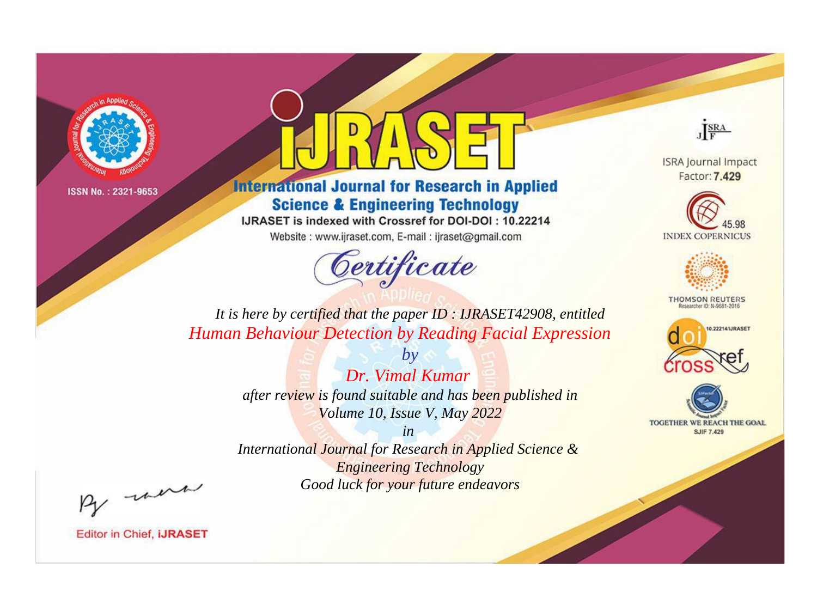

# **International Journal for Research in Applied Science & Engineering Technology**

IJRASET is indexed with Crossref for DOI-DOI: 10.22214

Website: www.ijraset.com, E-mail: ijraset@gmail.com



JERA

**ISRA Journal Impact** Factor: 7.429





**THOMSON REUTERS** 



TOGETHER WE REACH THE GOAL **SJIF 7.429** 

*It is here by certified that the paper ID : IJRASET42908, entitled Human Behaviour Detection by Reading Facial Expression*

> *by Dr. Vimal Kumar after review is found suitable and has been published in Volume 10, Issue V, May 2022*

> > *in*

*International Journal for Research in Applied Science & Engineering Technology Good luck for your future endeavors*

By morn